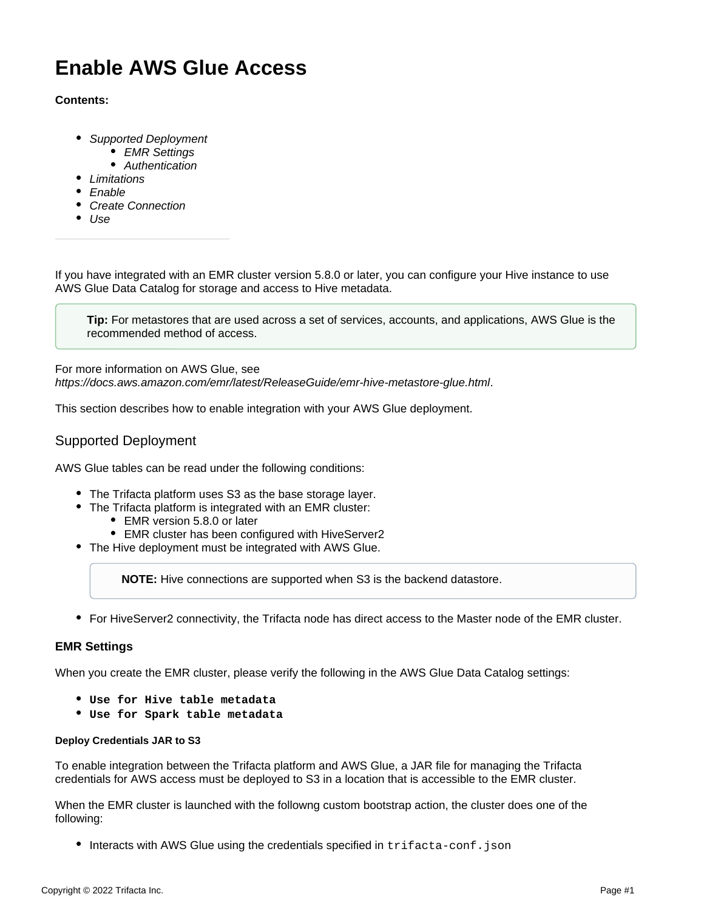# **Enable AWS Glue Access**

#### **Contents:**

- [Supported Deployment](#page-0-0)
	- [EMR Settings](#page-0-1)
	- [Authentication](#page-1-0)
- **•** [Limitations](#page-2-0)
- [Enable](#page-2-1)
- [Create Connection](#page-2-2)
- $\bullet$  [Use](#page-2-3)

If you have integrated with an EMR cluster version 5.8.0 or later, you can configure your Hive instance to use AWS Glue Data Catalog for storage and access to Hive metadata.

**Tip:** For metastores that are used across a set of services, accounts, and applications, AWS Glue is the recommended method of access.

For more information on AWS Glue, see <https://docs.aws.amazon.com/emr/latest/ReleaseGuide/emr-hive-metastore-glue.html>.

This section describes how to enable integration with your AWS Glue deployment.

## <span id="page-0-0"></span>Supported Deployment

AWS Glue tables can be read under the following conditions:

- The Trifacta platform uses S3 as the base storage layer.
- The Trifacta platform is integrated with an EMR cluster:
	- EMR version 5.8.0 or later
	- EMR cluster has been configured with HiveServer2
- The Hive deployment must be integrated with AWS Glue.

**NOTE:** Hive connections are supported when S3 is the backend datastore.

For HiveServer2 connectivity, the Trifacta node has direct access to the Master node of the EMR cluster.

#### <span id="page-0-1"></span>**EMR Settings**

When you create the EMR cluster, please verify the following in the AWS Glue Data Catalog settings:

- **Use for Hive table metadata**
- **Use for Spark table metadata**

## **Deploy Credentials JAR to S3**

To enable integration between the Trifacta platform and AWS Glue, a JAR file for managing the Trifacta credentials for AWS access must be deployed to S3 in a location that is accessible to the EMR cluster.

When the EMR cluster is launched with the followng custom bootstrap action, the cluster does one of the following:

 $\bullet$  Interacts with AWS Glue using the credentials specified in trifacta-conf.json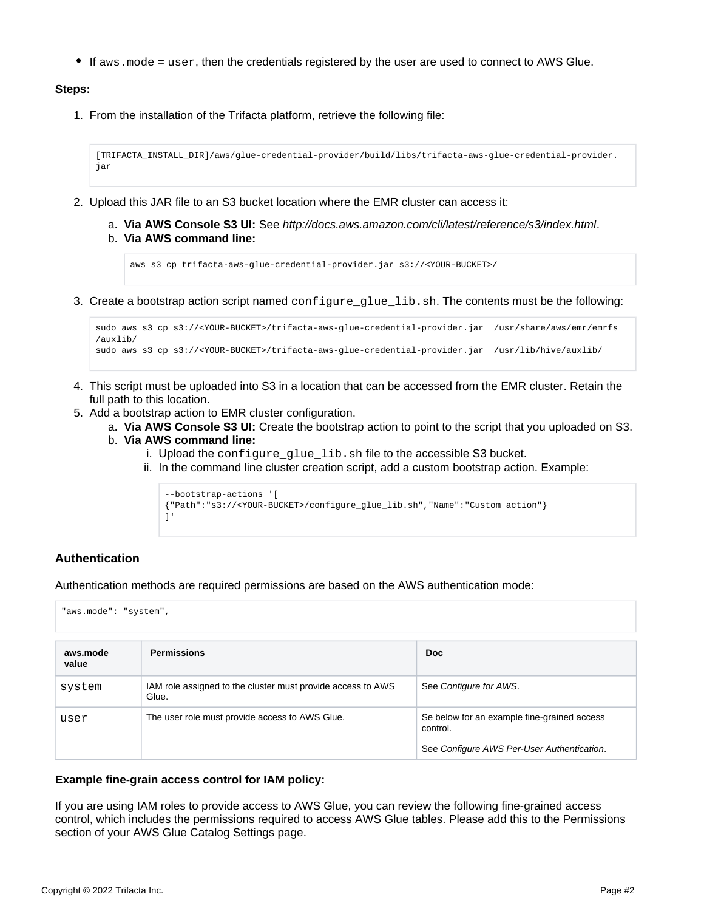$\bullet$  If aws.mode = user, then the credentials registered by the user are used to connect to AWS Glue.

#### **Steps:**

1. From the installation of the Trifacta platform, retrieve the following file:

```
[TRIFACTA_INSTALL_DIR]/aws/glue-credential-provider/build/libs/trifacta-aws-glue-credential-provider.
jar
```
- 2. Upload this JAR file to an S3 bucket location where the EMR cluster can access it:
	- a. **Via AWS Console S3 UI:** See <http://docs.aws.amazon.com/cli/latest/reference/s3/index.html>. b. **Via AWS command line:**

```
aws s3 cp trifacta-aws-glue-credential-provider.jar s3://<YOUR-BUCKET>/
```
3. Create a bootstrap action script named configure\_glue\_lib.sh. The contents must be the following:

```
sudo aws s3 cp s3://<YOUR-BUCKET>/trifacta-aws-glue-credential-provider.jar /usr/share/aws/emr/emrfs
/auxlib/
sudo aws s3 cp s3://<YOUR-BUCKET>/trifacta-aws-glue-credential-provider.jar /usr/lib/hive/auxlib/
```
- 4. This script must be uploaded into S3 in a location that can be accessed from the EMR cluster. Retain the full path to this location.
- 5. Add a bootstrap action to EMR cluster configuration.
	- a. **Via AWS Console S3 UI:** Create the bootstrap action to point to the script that you uploaded on S3.
	- b. **Via AWS command line:**
		- i. Upload the configure\_glue\_lib.sh file to the accessible S3 bucket.
		- ii. In the command line cluster creation script, add a custom bootstrap action. Example:

```
--bootstrap-actions '[
{"Path":"s3://<YOUR-BUCKET>/configure_glue_lib.sh","Name":"Custom action"}
]'
```
## <span id="page-1-0"></span>**Authentication**

Authentication methods are required permissions are based on the AWS authentication mode:

"aws.mode": "system",

| aws.mode<br>value | <b>Permissions</b>                                                   | <b>Doc</b>                                                                                            |
|-------------------|----------------------------------------------------------------------|-------------------------------------------------------------------------------------------------------|
| system            | IAM role assigned to the cluster must provide access to AWS<br>Glue. | See Configure for AWS.                                                                                |
| user              | The user role must provide access to AWS Glue.                       | Se below for an example fine-grained access<br>control.<br>See Configure AWS Per-User Authentication. |

#### **Example fine-grain access control for IAM policy:**

If you are using IAM roles to provide access to AWS Glue, you can review the following fine-grained access control, which includes the permissions required to access AWS Glue tables. Please add this to the Permissions section of your AWS Glue Catalog Settings page.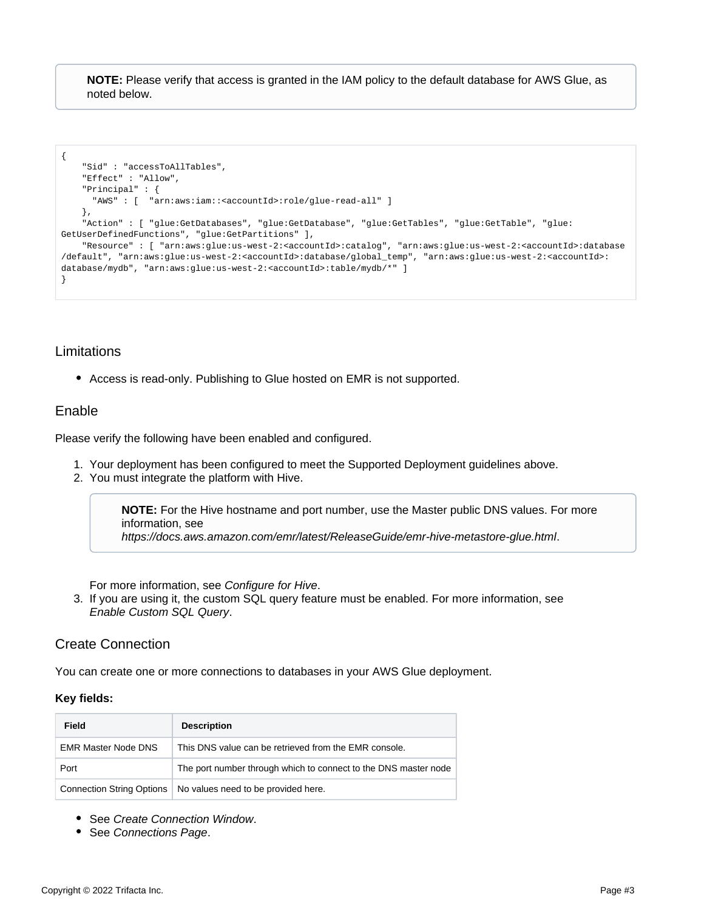**NOTE:** Please verify that access is granted in the IAM policy to the default database for AWS Glue, as noted below.

```
{
    "Sid" : "accessToAllTables",
    "Effect" : "Allow",
    "Principal" : {
      "AWS" : [ "arn:aws:iam::<accountId>:role/glue-read-all" ]
     },
    "Action" : [ "glue:GetDatabases", "glue:GetDatabase", "glue:GetTables", "glue:GetTable", "glue:
GetUserDefinedFunctions", "glue:GetPartitions" ],
    "Resource" : [ "arn:aws:glue:us-west-2:<accountId>:catalog", "arn:aws:glue:us-west-2:<accountId>:database
/default", "arn:aws:glue:us-west-2:<accountId>:database/global_temp", "arn:aws:glue:us-west-2:<accountId>:
database/mydb", "arn:aws:glue:us-west-2:<accountId>:table/mydb/*" ]
}
```
## <span id="page-2-0"></span>Limitations

Access is read-only. Publishing to Glue hosted on EMR is not supported.

## <span id="page-2-1"></span>Enable

Please verify the following have been enabled and configured.

- 1. Your deployment has been configured to meet the Supported Deployment guidelines above.
- 2. You must integrate the platform with Hive.

**NOTE:** For the Hive hostname and port number, use the Master public DNS values. For more information, see

<https://docs.aws.amazon.com/emr/latest/ReleaseGuide/emr-hive-metastore-glue.html>.

For more information, see [Configure for Hive](https://docs.trifacta.com/display/r064/Configure+for+Hive).

3. If you are using it, the custom SQL query feature must be enabled. For more information, see [Enable Custom SQL Query](https://docs.trifacta.com/display/r064/Enable+Custom+SQL+Query).

## <span id="page-2-2"></span>Create Connection

You can create one or more connections to databases in your AWS Glue deployment.

#### **Key fields:**

| Field                      | <b>Description</b>                                              |
|----------------------------|-----------------------------------------------------------------|
| <b>EMR Master Node DNS</b> | This DNS value can be retrieved from the EMR console.           |
| Port                       | The port number through which to connect to the DNS master node |
| Connection String Options  | No values need to be provided here.                             |

- See [Create Connection Window](https://docs.trifacta.com/display/r064/Create+Connection+Window).
- <span id="page-2-3"></span>• See [Connections Page](https://docs.trifacta.com/display/r064/Connections+Page).